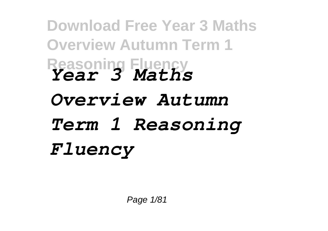**Download Free Year 3 Maths Overview Autumn Term 1 Reasoning Fluency** *Year 3 Maths Overview Autumn Term 1 Reasoning Fluency*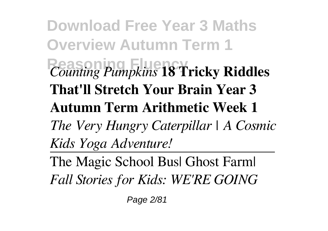**Download Free Year 3 Maths Overview Autumn Term 1 Reasoning Fluency** *Counting Pumpkins* **18 Tricky Riddles That'll Stretch Your Brain Year 3 Autumn Term Arithmetic Week 1** *The Very Hungry Caterpillar | A Cosmic Kids Yoga Adventure!*

The Magic School Bus| Ghost Farm| *Fall Stories for Kids: WE'RE GOING*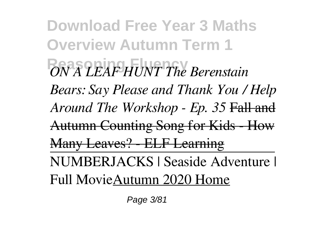**Download Free Year 3 Maths Overview Autumn Term 1 Reasoning Fluency** *ON A LEAF HUNT The Berenstain Bears: Say Please and Thank You / Help Around The Workshop - Ep. 35* Fall and Autumn Counting Song for Kids - How Many Leaves? - ELF Learning NUMBERJACKS | Seaside Adventure | Full MovieAutumn 2020 Home

Page 3/81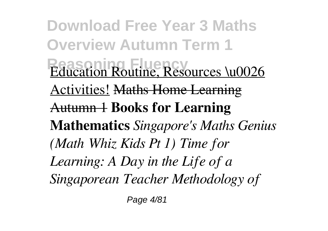**Download Free Year 3 Maths Overview Autumn Term 1 Education Routine, Resources \u0026** Activities! Maths Home Learning Autumn 1 **Books for Learning Mathematics** *Singapore's Maths Genius (Math Whiz Kids Pt 1) Time for Learning: A Day in the Life of a Singaporean Teacher Methodology of*

Page 4/81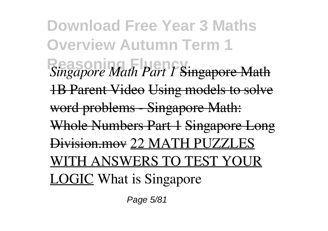**Download Free Year 3 Maths Overview Autumn Term 1 Reasoning Fluency** *Singapore Math Part 1* Singapore Math 1B Parent Video Using models to solve word problems - Singapore Math: Whole Numbers Part 1 Singapore Long Division.mov 22 MATH PUZZLES WITH ANSWERS TO TEST YOUR LOGIC What is Singapore

Page 5/81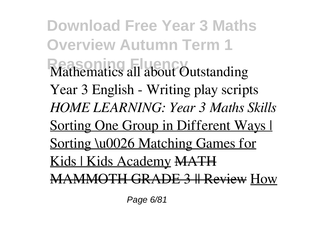**Download Free Year 3 Maths Overview Autumn Term 1 Mathematics all about Outstanding** Year 3 English - Writing play scripts *HOME LEARNING: Year 3 Maths Skills* Sorting One Group in Different Ways I Sorting \u0026 Matching Games for Kids | Kids Academy MATH MAMMOTH GRADE 3 || Review How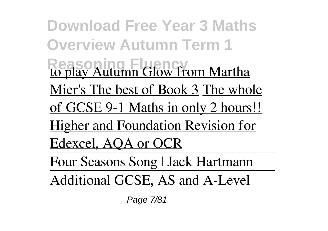**Download Free Year 3 Maths Overview Autumn Term 1 Reasoning Fluency** to play Autumn Glow from Martha Mier's The best of Book 3 The whole of GCSE 9-1 Maths in only 2 hours!! Higher and Foundation Revision for Edexcel, AQA or OCR Four Seasons Song | Jack Hartmann Additional GCSE, AS and A-Level

Page 7/81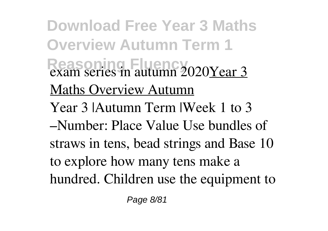**Download Free Year 3 Maths Overview Autumn Term 1 Reasoning Fluency** exam series in autumn 2020Year 3 Maths Overview Autumn Year 3 |Autumn Term |Week 1 to 3 –Number: Place Value Use bundles of straws in tens, bead strings and Base 10 to explore how many tens make a hundred. Children use the equipment to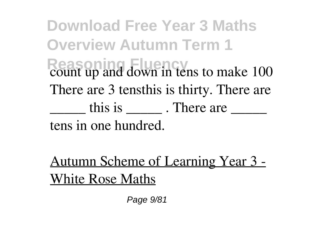**Download Free Year 3 Maths Overview Autumn Term 1** Reason<sub>ing</sub> Fluence<sub>2</sub> count up and down in tens to make 100 There are 3 tensthis is thirty. There are  $\frac{1}{\sqrt{2}}$  this is  $\frac{1}{\sqrt{2}}$ . There are  $\frac{1}{\sqrt{2}}$ tens in one hundred.

Autumn Scheme of Learning Year 3 - White Rose Maths

Page 9/81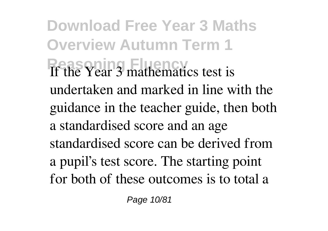**Download Free Year 3 Maths Overview Autumn Term 1 Reasoning Fluency** If the Year 3 mathematics test is undertaken and marked in line with the guidance in the teacher guide, then both a standardised score and an age standardised score can be derived from a pupil's test score. The starting point for both of these outcomes is to total a

Page 10/81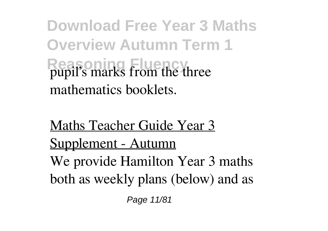**Download Free Year 3 Maths Overview Autumn Term 1 Reason** Fluence pupil's marks from the three mathematics booklets.

Maths Teacher Guide Year 3 Supplement - Autumn We provide Hamilton Year 3 maths both as weekly plans (below) and as

Page 11/81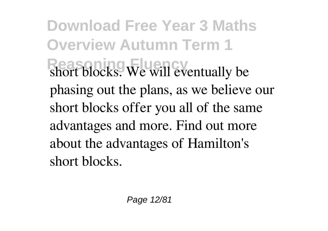**Download Free Year 3 Maths Overview Autumn Term 1 Reasoning Fluency** short blocks. We will eventually be phasing out the plans, as we believe our short blocks offer you all of the same advantages and more. Find out more about the advantages of Hamilton's short blocks.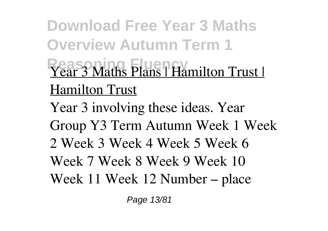**Download Free Year 3 Maths Overview Autumn Term 1 Year 3 Maths Plans | Hamilton Trust |** Hamilton Trust Year 3 involving these ideas. Year Group Y3 Term Autumn Week 1 Week 2 Week 3 Week 4 Week 5 Week 6 Week 7 Week 8 Week 9 Week 10 Week 11 Week 12 Number – place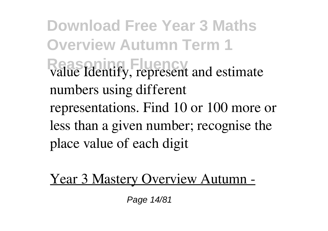**Download Free Year 3 Maths Overview Autumn Term 1** Real **Reasoning** Fluencies<sup>R</sup><br> **Read Fluence** *represent and estimate* numbers using different representations. Find 10 or 100 more or less than a given number; recognise the place value of each digit

Year 3 Mastery Overview Autumn -

Page 14/81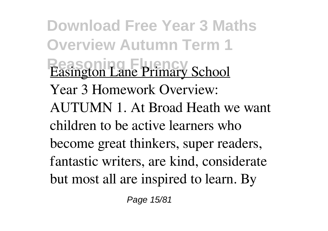**Download Free Year 3 Maths Overview Autumn Term 1 Easington Lane Primary School** Year 3 Homework Overview: AUTUMN 1. At Broad Heath we want children to be active learners who become great thinkers, super readers, fantastic writers, are kind, considerate but most all are inspired to learn. By

Page 15/81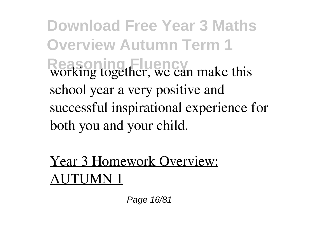**Download Free Year 3 Maths Overview Autumn Term 1** Reasoning together, we can make this school year a very positive and successful inspirational experience for both you and your child.

Year 3 Homework Overview: AUTUMN 1

Page 16/81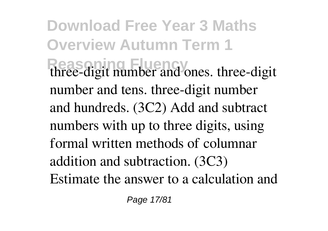**Download Free Year 3 Maths Overview Autumn Term 1** three-digit number and ones. three-digit number and tens. three-digit number and hundreds. (3C2) Add and subtract numbers with up to three digits, using formal written methods of columnar addition and subtraction. (3C3) Estimate the answer to a calculation and

Page 17/81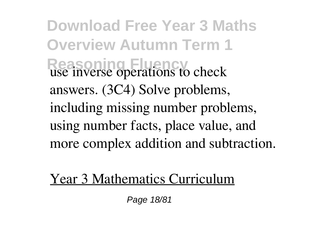**Download Free Year 3 Maths Overview Autumn Term 1** Reasoning Fluency use inverse operations to check answers. (3C4) Solve problems, including missing number problems, using number facts, place value, and more complex addition and subtraction.

Year 3 Mathematics Curriculum

Page 18/81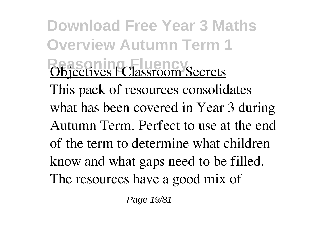**Download Free Year 3 Maths Overview Autumn Term 1 Objectives | Classroom Secrets** This pack of resources consolidates what has been covered in Year 3 during Autumn Term. Perfect to use at the end of the term to determine what children know and what gaps need to be filled. The resources have a good mix of

Page 19/81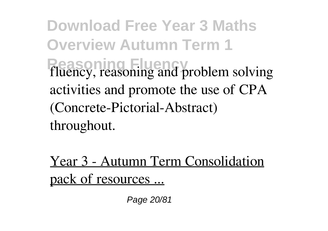**Download Free Year 3 Maths Overview Autumn Term 1 Reasoning Fluency** fluency, reasoning and problem solving activities and promote the use of CPA (Concrete-Pictorial-Abstract) throughout.

Year 3 - Autumn Term Consolidation pack of resources ...

Page 20/81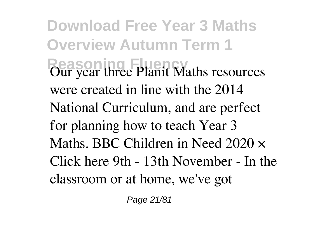**Download Free Year 3 Maths Overview Autumn Term 1 Produce Planit Maths resources** were created in line with the 2014 National Curriculum, and are perfect for planning how to teach Year 3 Maths. BBC Children in Need 2020 × Click here 9th - 13th November - In the classroom or at home, we've got

Page 21/81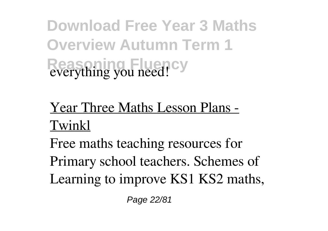**Download Free Year 3 Maths Overview Autumn Term 1 Reasoning Fluency** everything you need!

## Year Three Maths Lesson Plans - Twinkl

Free maths teaching resources for Primary school teachers. Schemes of Learning to improve KS1 KS2 maths,

Page 22/81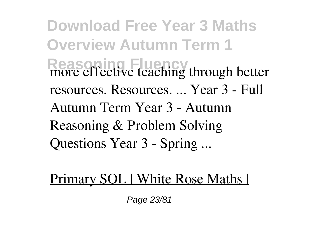**Download Free Year 3 Maths Overview Autumn Term 1 Reasoning** fluence teaching through better resources. Resources. ... Year 3 - Full Autumn Term Year 3 - Autumn Reasoning & Problem Solving Questions Year 3 - Spring ...

## Primary SOL | White Rose Maths |

Page 23/81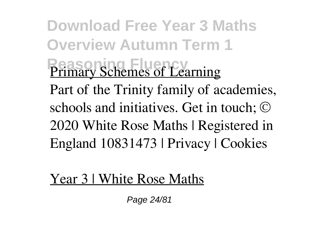**Download Free Year 3 Maths Overview Autumn Term 1 Primary Schemes of Learning** Part of the Trinity family of academies, schools and initiatives. Get in touch; © 2020 White Rose Maths | Registered in England 10831473 | Privacy | Cookies

Year 3 | White Rose Maths

Page 24/81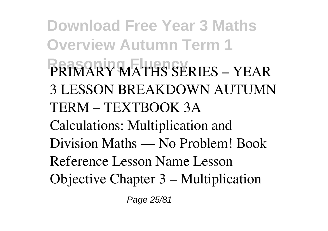**Download Free Year 3 Maths Overview Autumn Term 1 Reasoning Fluency** PRIMARY MATHS SERIES – YEAR 3 LESSON BREAKDOWN AUTUMN TERM – TEXTBOOK 3A Calculations: Multiplication and Division Maths — No Problem! Book Reference Lesson Name Lesson Objective Chapter 3 – Multiplication

Page 25/81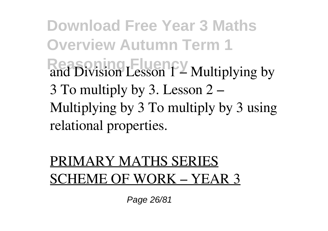**Download Free Year 3 Maths Overview Autumn Term 1 Read Division Lesson 1 – Multiplying by** 3 To multiply by 3. Lesson 2 – Multiplying by 3 To multiply by 3 using relational properties.

## PRIMARY MATHS SERIES SCHEME OF WORK – YEAR 3

Page 26/81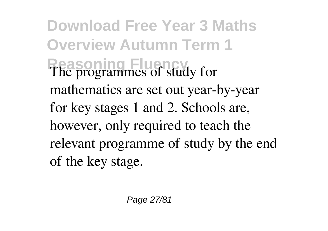**Download Free Year 3 Maths Overview Autumn Term 1** The programmes of study for mathematics are set out year-by-year for key stages 1 and 2. Schools are, however, only required to teach the relevant programme of study by the end of the key stage.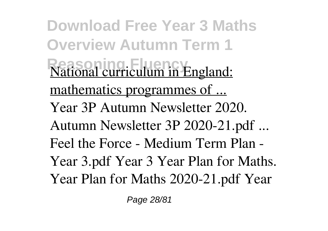**Download Free Year 3 Maths Overview Autumn Term 1 National curriculum in England:** mathematics programmes of ... Year 3P Autumn Newsletter 2020. Autumn Newsletter 3P 2020-21.pdf ... Feel the Force - Medium Term Plan - Year 3.pdf Year 3 Year Plan for Maths. Year Plan for Maths 2020-21.pdf Year

Page 28/81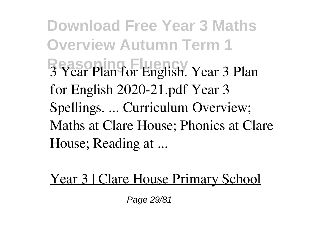**Download Free Year 3 Maths Overview Autumn Term 1 Reasoning Fluency** 3 Year Plan for English. Year 3 Plan for English 2020-21.pdf Year 3 Spellings. ... Curriculum Overview; Maths at Clare House; Phonics at Clare House; Reading at ...

Year 3 | Clare House Primary School

Page 29/81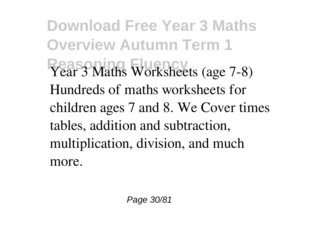**Download Free Year 3 Maths Overview Autumn Term 1** Year 3 Maths Worksheets (age 7-8) Hundreds of maths worksheets for children ages 7 and 8. We Cover times tables, addition and subtraction, multiplication, division, and much more.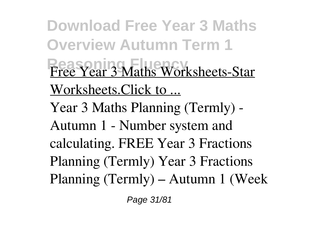**Download Free Year 3 Maths Overview Autumn Term 1 Free Year 3 Maths Worksheets-Star** Worksheets.Click to ... Year 3 Maths Planning (Termly) - Autumn 1 - Number system and calculating. FREE Year 3 Fractions Planning (Termly) Year 3 Fractions Planning (Termly) – Autumn 1 (Week

Page 31/81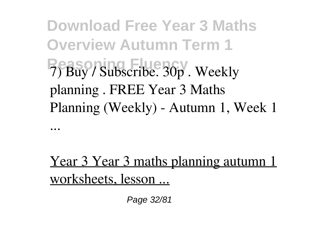**Download Free Year 3 Maths Overview Autumn Term 1 Reasoning Fluency** 7) Buy / Subscribe. 30p . Weekly planning . FREE Year 3 Maths Planning (Weekly) - Autumn 1, Week 1

...

Year 3 Year 3 maths planning autumn 1 worksheets, lesson ...

Page 32/81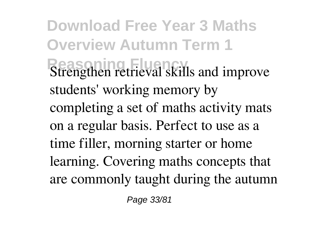**Download Free Year 3 Maths Overview Autumn Term 1 Strengthen retrieval skills and improve** students' working memory by completing a set of maths activity mats on a regular basis. Perfect to use as a time filler, morning starter or home learning. Covering maths concepts that are commonly taught during the autumn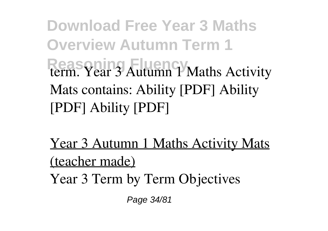**Download Free Year 3 Maths Overview Autumn Term 1 Reasoning Fluence 3 Autumn 1 Maths Activity** Mats contains: Ability [PDF] Ability [PDF] Ability [PDF]

Year 3 Autumn 1 Maths Activity Mats (teacher made) Year 3 Term by Term Objectives

Page 34/81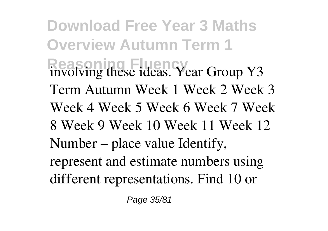**Download Free Year 3 Maths Overview Autumn Term 1 Reading Fluence ideas. Year Group Y3** Term Autumn Week 1 Week 2 Week 3 Week 4 Week 5 Week 6 Week 7 Week 8 Week 9 Week 10 Week 11 Week 12 Number – place value Identify, represent and estimate numbers using different representations. Find 10 or

Page 35/81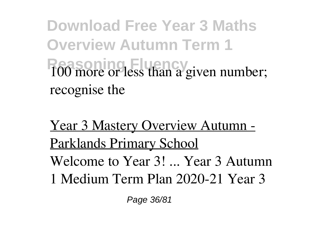**Download Free Year 3 Maths Overview Autumn Term 1 Read Fluence or less than a given number;** recognise the

Year 3 Mastery Overview Autumn - Parklands Primary School Welcome to Year 3! ... Year 3 Autumn 1 Medium Term Plan 2020-21 Year 3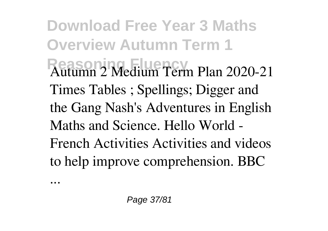**Download Free Year 3 Maths Overview Autumn Term 1 Reasoning Fluency** Autumn 2 Medium Term Plan 2020-21 Times Tables ; Spellings; Digger and the Gang Nash's Adventures in English Maths and Science. Hello World - French Activities Activities and videos to help improve comprehension. BBC

...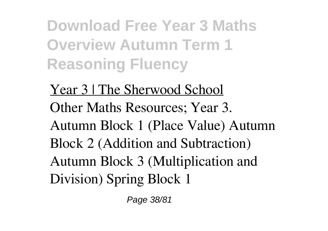**Download Free Year 3 Maths Overview Autumn Term 1 Reasoning Fluency**

Year 3 | The Sherwood School Other Maths Resources; Year 3. Autumn Block 1 (Place Value) Autumn Block 2 (Addition and Subtraction) Autumn Block 3 (Multiplication and Division) Spring Block 1

Page 38/81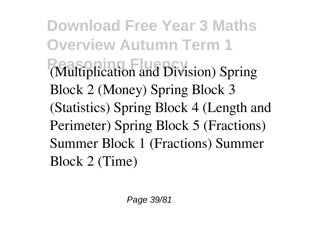**Download Free Year 3 Maths Overview Autumn Term 1 Reasoning Fluency** (Multiplication and Division) Spring Block 2 (Money) Spring Block 3 (Statistics) Spring Block 4 (Length and Perimeter) Spring Block 5 (Fractions) Summer Block 1 (Fractions) Summer Block 2 (Time)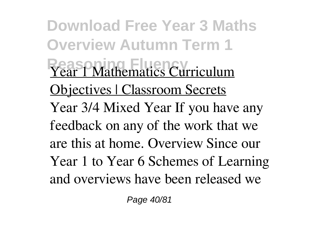**Download Free Year 3 Maths Overview Autumn Term 1 Year 1 Mathematics Curriculum** Objectives | Classroom Secrets Year 3/4 Mixed Year If you have any feedback on any of the work that we are this at home. Overview Since our Year 1 to Year 6 Schemes of Learning and overviews have been released we

Page 40/81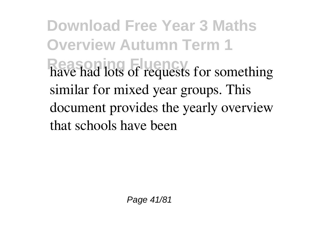**Download Free Year 3 Maths Overview Autumn Term 1 Reasoning Fluency** have had lots of requests for something similar for mixed year groups. This document provides the yearly overview that schools have been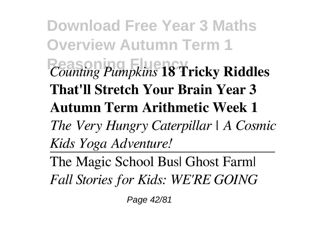**Download Free Year 3 Maths Overview Autumn Term 1 Reasoning Fluency** *Counting Pumpkins* **18 Tricky Riddles That'll Stretch Your Brain Year 3 Autumn Term Arithmetic Week 1** *The Very Hungry Caterpillar | A Cosmic Kids Yoga Adventure!*

The Magic School Bus| Ghost Farm| *Fall Stories for Kids: WE'RE GOING*

Page 42/81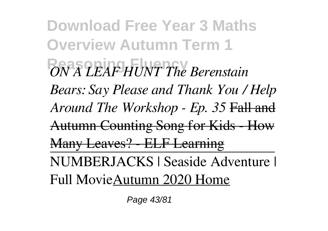**Download Free Year 3 Maths Overview Autumn Term 1 Reasoning Fluency** *ON A LEAF HUNT The Berenstain Bears: Say Please and Thank You / Help Around The Workshop - Ep. 35* Fall and Autumn Counting Song for Kids - How Many Leaves? - ELF Learning NUMBERJACKS | Seaside Adventure | Full MovieAutumn 2020 Home

Page 43/81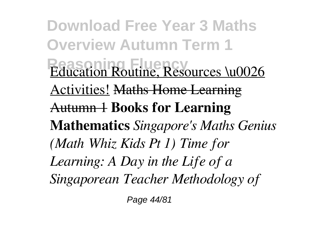**Download Free Year 3 Maths Overview Autumn Term 1 Education Routine, Resources \u0026** Activities! Maths Home Learning Autumn 1 **Books for Learning Mathematics** *Singapore's Maths Genius (Math Whiz Kids Pt 1) Time for Learning: A Day in the Life of a Singaporean Teacher Methodology of*

Page 44/81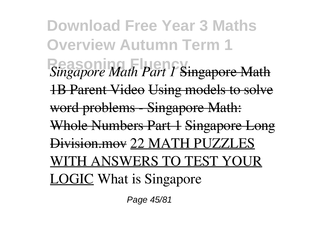**Download Free Year 3 Maths Overview Autumn Term 1 Reasoning Fluency** *Singapore Math Part 1* Singapore Math 1B Parent Video Using models to solve word problems - Singapore Math: Whole Numbers Part 1 Singapore Long Division.mov 22 MATH PUZZLES WITH ANSWERS TO TEST YOUR LOGIC What is Singapore

Page 45/81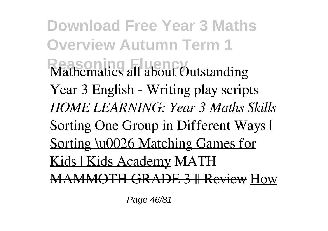**Download Free Year 3 Maths Overview Autumn Term 1 Mathematics all about Outstanding** Year 3 English - Writing play scripts *HOME LEARNING: Year 3 Maths Skills* Sorting One Group in Different Ways I Sorting \u0026 Matching Games for Kids | Kids Academy MATH MAMMOTH GRADE 3 || Review How

Page 46/81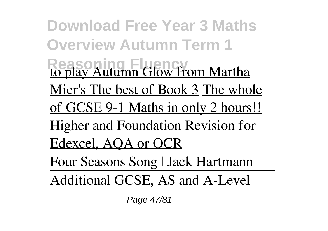**Download Free Year 3 Maths Overview Autumn Term 1 Reasoning Fluency** to play Autumn Glow from Martha Mier's The best of Book 3 The whole of GCSE 9-1 Maths in only 2 hours!! Higher and Foundation Revision for Edexcel, AQA or OCR Four Seasons Song | Jack Hartmann Additional GCSE, AS and A-Level

Page 47/81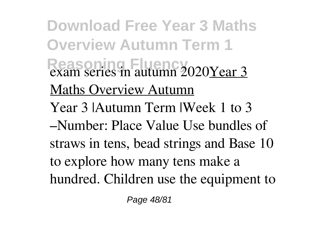**Download Free Year 3 Maths Overview Autumn Term 1 Reasoning Fluency** exam series in autumn 2020Year 3 Maths Overview Autumn Year 3 |Autumn Term |Week 1 to 3 –Number: Place Value Use bundles of straws in tens, bead strings and Base 10 to explore how many tens make a hundred. Children use the equipment to

Page 48/81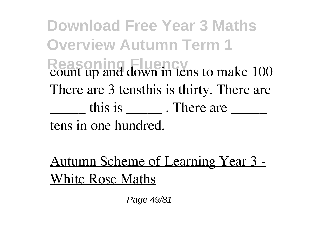**Download Free Year 3 Maths Overview Autumn Term 1** Reason<sub>ing</sub> Fluence<sub>2</sub> count up and down in tens to make 100 There are 3 tensthis is thirty. There are  $\frac{1}{\sqrt{2}}$  this is  $\frac{1}{\sqrt{2}}$ . There are  $\frac{1}{\sqrt{2}}$ tens in one hundred.

Autumn Scheme of Learning Year 3 - White Rose Maths

Page 49/81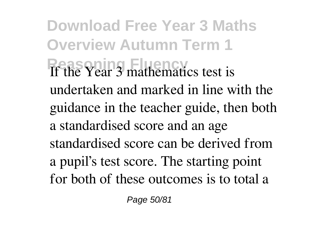**Download Free Year 3 Maths Overview Autumn Term 1 Reasoning Fluency** If the Year 3 mathematics test is undertaken and marked in line with the guidance in the teacher guide, then both a standardised score and an age standardised score can be derived from a pupil's test score. The starting point for both of these outcomes is to total a

Page 50/81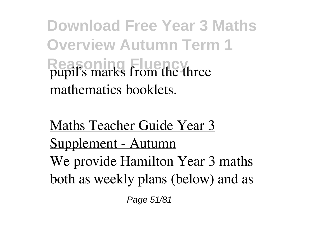**Download Free Year 3 Maths Overview Autumn Term 1 Reason** Fluence pupil's marks from the three mathematics booklets.

Maths Teacher Guide Year 3 Supplement - Autumn We provide Hamilton Year 3 maths both as weekly plans (below) and as

Page 51/81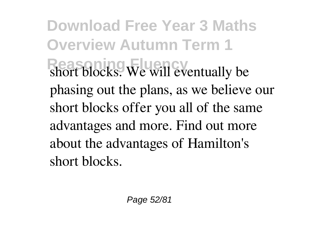**Download Free Year 3 Maths Overview Autumn Term 1 Reasoning Fluency** short blocks. We will eventually be phasing out the plans, as we believe our short blocks offer you all of the same advantages and more. Find out more about the advantages of Hamilton's short blocks.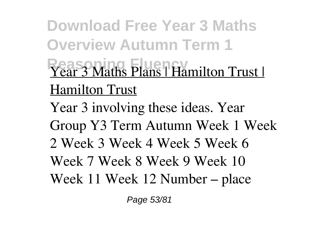**Download Free Year 3 Maths Overview Autumn Term 1 Year 3 Maths Plans | Hamilton Trust |** Hamilton Trust Year 3 involving these ideas. Year Group Y3 Term Autumn Week 1 Week 2 Week 3 Week 4 Week 5 Week 6 Week 7 Week 8 Week 9 Week 10 Week 11 Week 12 Number – place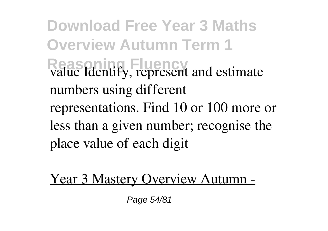**Download Free Year 3 Maths Overview Autumn Term 1** Reasonial Fluencies<sup>Read</sup><br> **Reading Fluence** *represent and estimate* numbers using different representations. Find 10 or 100 more or less than a given number; recognise the place value of each digit

Year 3 Mastery Overview Autumn -

Page 54/81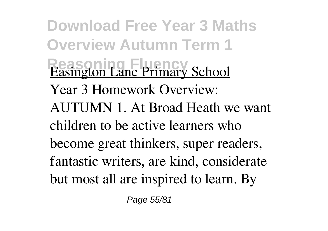**Download Free Year 3 Maths Overview Autumn Term 1 Easington Lane Primary School** Year 3 Homework Overview: AUTUMN 1. At Broad Heath we want children to be active learners who become great thinkers, super readers, fantastic writers, are kind, considerate but most all are inspired to learn. By

Page 55/81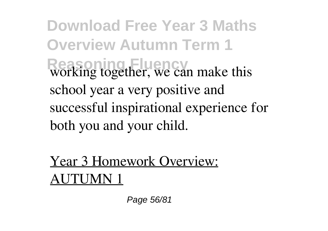**Download Free Year 3 Maths Overview Autumn Term 1** Reasoning together, we can make this school year a very positive and successful inspirational experience for both you and your child.

Year 3 Homework Overview: AUTUMN 1

Page 56/81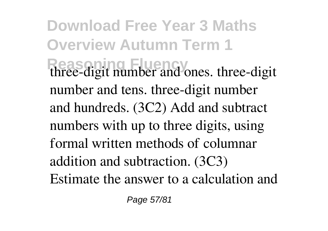**Download Free Year 3 Maths Overview Autumn Term 1** three-digit number and ones. three-digit number and tens. three-digit number and hundreds. (3C2) Add and subtract numbers with up to three digits, using formal written methods of columnar addition and subtraction. (3C3) Estimate the answer to a calculation and

Page 57/81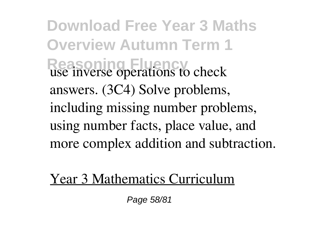**Download Free Year 3 Maths Overview Autumn Term 1** Reasoning Fluency use inverse operations to check answers. (3C4) Solve problems, including missing number problems, using number facts, place value, and more complex addition and subtraction.

Year 3 Mathematics Curriculum

Page 58/81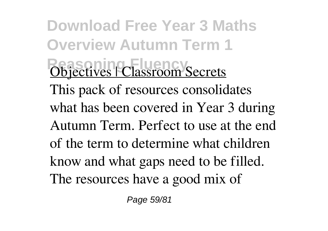**Download Free Year 3 Maths Overview Autumn Term 1 Objectives | Classroom Secrets** This pack of resources consolidates what has been covered in Year 3 during Autumn Term. Perfect to use at the end of the term to determine what children know and what gaps need to be filled. The resources have a good mix of

Page 59/81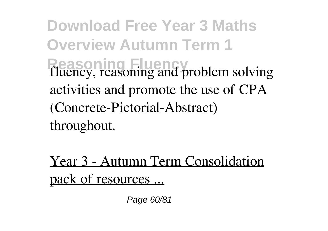**Download Free Year 3 Maths Overview Autumn Term 1 Reasoning Fluency** fluency, reasoning and problem solving activities and promote the use of CPA (Concrete-Pictorial-Abstract) throughout.

Year 3 - Autumn Term Consolidation pack of resources ...

Page 60/81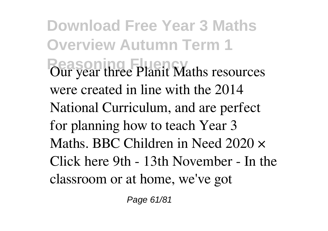**Download Free Year 3 Maths Overview Autumn Term 1 Produce Planit Maths resources** were created in line with the 2014 National Curriculum, and are perfect for planning how to teach Year 3 Maths. BBC Children in Need 2020 × Click here 9th - 13th November - In the classroom or at home, we've got

Page 61/81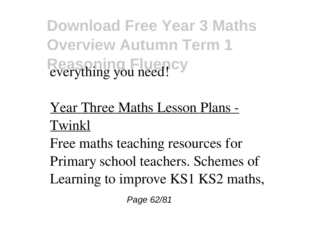**Download Free Year 3 Maths Overview Autumn Term 1 Reasoning Fluency** everything you need!

## Year Three Maths Lesson Plans - Twinkl

Free maths teaching resources for Primary school teachers. Schemes of Learning to improve KS1 KS2 maths,

Page 62/81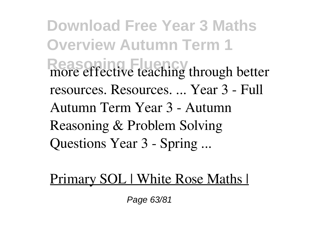**Download Free Year 3 Maths Overview Autumn Term 1 Reasoning** fluence teaching through better resources. Resources. ... Year 3 - Full Autumn Term Year 3 - Autumn Reasoning & Problem Solving Questions Year 3 - Spring ...

## Primary SOL | White Rose Maths |

Page 63/81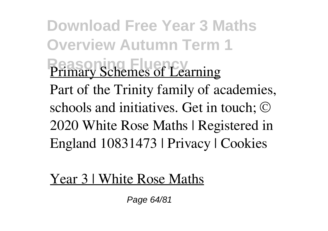**Download Free Year 3 Maths Overview Autumn Term 1 Primary Schemes of Learning** Part of the Trinity family of academies, schools and initiatives. Get in touch; © 2020 White Rose Maths | Registered in England 10831473 | Privacy | Cookies

Year 3 | White Rose Maths

Page 64/81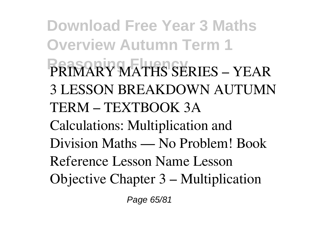**Download Free Year 3 Maths Overview Autumn Term 1 Reasoning Fluency** PRIMARY MATHS SERIES – YEAR 3 LESSON BREAKDOWN AUTUMN TERM – TEXTBOOK 3A Calculations: Multiplication and Division Maths — No Problem! Book Reference Lesson Name Lesson Objective Chapter 3 – Multiplication

Page 65/81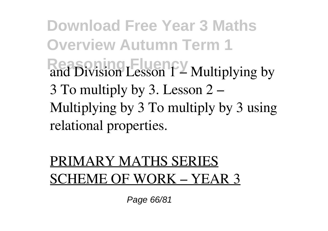**Download Free Year 3 Maths Overview Autumn Term 1 Read Division Lesson 1 – Multiplying by** 3 To multiply by 3. Lesson 2 – Multiplying by 3 To multiply by 3 using relational properties.

## PRIMARY MATHS SERIES SCHEME OF WORK – YEAR 3

Page 66/81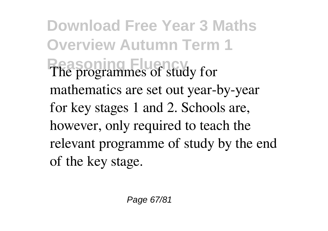**Download Free Year 3 Maths Overview Autumn Term 1** The programmes of study for mathematics are set out year-by-year for key stages 1 and 2. Schools are, however, only required to teach the relevant programme of study by the end of the key stage.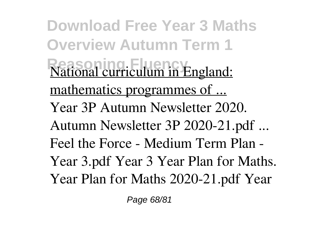**Download Free Year 3 Maths Overview Autumn Term 1 National curriculum in England:** mathematics programmes of ... Year 3P Autumn Newsletter 2020. Autumn Newsletter 3P 2020-21.pdf ... Feel the Force - Medium Term Plan - Year 3.pdf Year 3 Year Plan for Maths. Year Plan for Maths 2020-21.pdf Year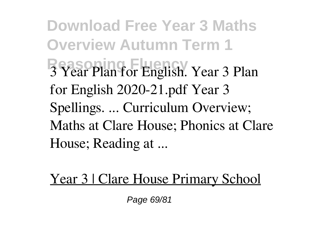**Download Free Year 3 Maths Overview Autumn Term 1 Reasoning Fluency** 3 Year Plan for English. Year 3 Plan for English 2020-21.pdf Year 3 Spellings. ... Curriculum Overview; Maths at Clare House; Phonics at Clare House; Reading at ...

Year 3 | Clare House Primary School

Page 69/81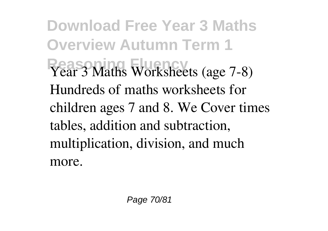**Download Free Year 3 Maths Overview Autumn Term 1** Year 3 Maths Worksheets (age 7-8) Hundreds of maths worksheets for children ages 7 and 8. We Cover times tables, addition and subtraction, multiplication, division, and much more.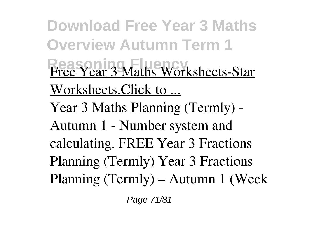**Download Free Year 3 Maths Overview Autumn Term 1 Free Year 3 Maths Worksheets-Star** Worksheets.Click to ... Year 3 Maths Planning (Termly) - Autumn 1 - Number system and calculating. FREE Year 3 Fractions Planning (Termly) Year 3 Fractions Planning (Termly) – Autumn 1 (Week

Page 71/81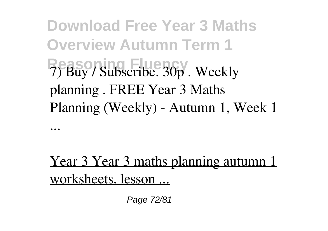**Download Free Year 3 Maths Overview Autumn Term 1 Reasoning Fluency** 7) Buy / Subscribe. 30p . Weekly planning . FREE Year 3 Maths Planning (Weekly) - Autumn 1, Week 1

...

Year 3 Year 3 maths planning autumn 1 worksheets, lesson ...

Page 72/81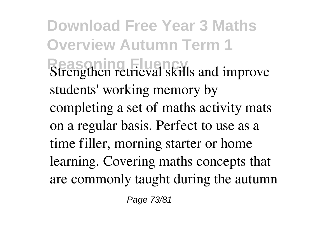**Download Free Year 3 Maths Overview Autumn Term 1 Strengthen retrieval skills and improve** students' working memory by completing a set of maths activity mats on a regular basis. Perfect to use as a time filler, morning starter or home learning. Covering maths concepts that are commonly taught during the autumn

Page 73/81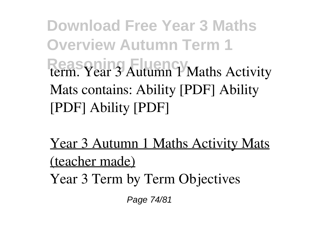**Download Free Year 3 Maths Overview Autumn Term 1 Reasoning Fluence 3 Autumn 1 Maths Activity** Mats contains: Ability [PDF] Ability [PDF] Ability [PDF]

Year 3 Autumn 1 Maths Activity Mats (teacher made) Year 3 Term by Term Objectives

Page 74/81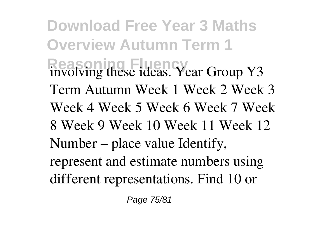**Download Free Year 3 Maths Overview Autumn Term 1 Reading Fluence ideas. Year Group Y3** Term Autumn Week 1 Week 2 Week 3 Week 4 Week 5 Week 6 Week 7 Week 8 Week 9 Week 10 Week 11 Week 12 Number – place value Identify, represent and estimate numbers using different representations. Find 10 or

Page 75/81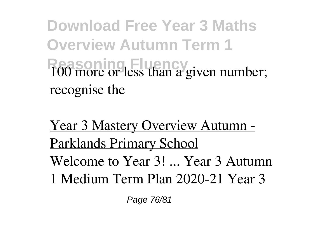**Download Free Year 3 Maths Overview Autumn Term 1 Read Fluence or less than a given number;** recognise the

Year 3 Mastery Overview Autumn - Parklands Primary School Welcome to Year 3! ... Year 3 Autumn 1 Medium Term Plan 2020-21 Year 3

Page 76/81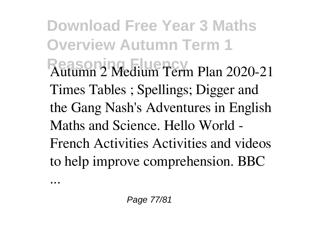**Download Free Year 3 Maths Overview Autumn Term 1 Reasoning Fluency** Autumn 2 Medium Term Plan 2020-21 Times Tables ; Spellings; Digger and the Gang Nash's Adventures in English Maths and Science. Hello World - French Activities Activities and videos to help improve comprehension. BBC

...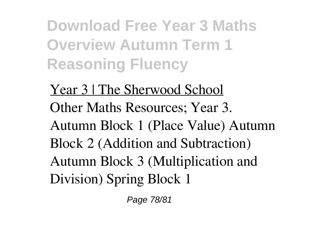**Download Free Year 3 Maths Overview Autumn Term 1 Reasoning Fluency**

Year 3 | The Sherwood School Other Maths Resources; Year 3. Autumn Block 1 (Place Value) Autumn Block 2 (Addition and Subtraction) Autumn Block 3 (Multiplication and Division) Spring Block 1

Page 78/81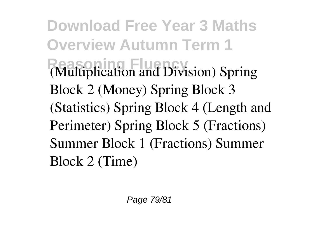**Download Free Year 3 Maths Overview Autumn Term 1 Reasoning Fluency** (Multiplication and Division) Spring Block 2 (Money) Spring Block 3 (Statistics) Spring Block 4 (Length and Perimeter) Spring Block 5 (Fractions) Summer Block 1 (Fractions) Summer Block 2 (Time)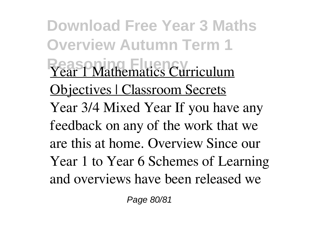**Download Free Year 3 Maths Overview Autumn Term 1 Year 1 Mathematics Curriculum** Objectives | Classroom Secrets Year 3/4 Mixed Year If you have any feedback on any of the work that we are this at home. Overview Since our Year 1 to Year 6 Schemes of Learning and overviews have been released we

Page 80/81